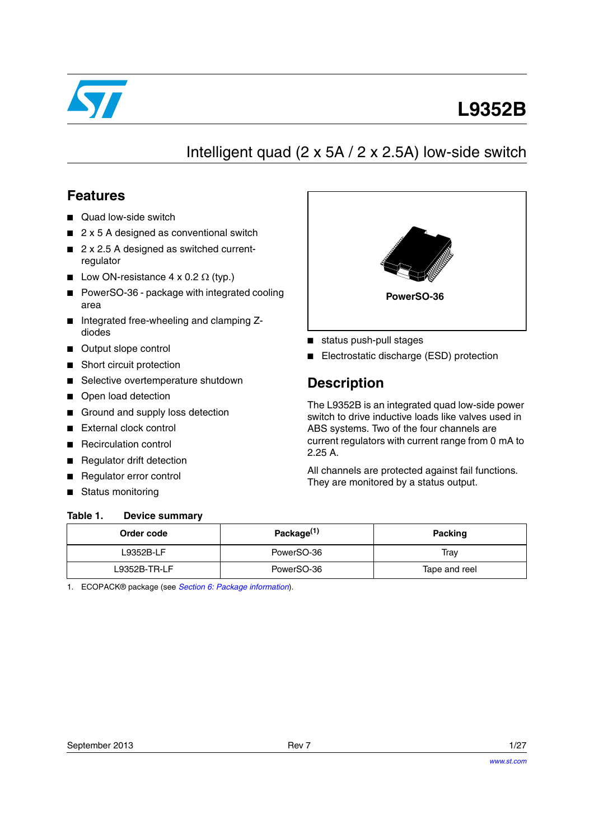

# **L9352B**

# Intelligent quad (2 x 5A / 2 x 2.5A) low-side switch

## **Features**

- Quad low-side switch
- 2 x 5 A designed as conventional switch
- 2 x 2.5 A designed as switched currentregulator
- Low ON-resistance  $4 \times 0.2 \Omega$  (typ.)
- PowerSO-36 package with integrated cooling area
- Integrated free-wheeling and clamping Zdiodes
- Output slope control
- Short circuit protection
- Selective overtemperature shutdown
- Open load detection
- Ground and supply loss detection
- External clock control
- **Recirculation control**
- **Regulator drift detection**
- Regulator error control
- Status monitoring

#### <span id="page-0-1"></span><span id="page-0-0"></span>Table 1 **Device summary**



- status push-pull stages
- Electrostatic discharge (ESD) protection

# **Description**

The L9352B is an integrated quad low-side power switch to drive inductive loads like valves used in ABS systems. Two of the four channels are current regulators with current range from 0 mA to 2.25 A.

All channels are protected against fail functions. They are monitored by a status output.

| Order code   | Package <sup>(1)</sup> | Packing       |  |  |
|--------------|------------------------|---------------|--|--|
| L9352B-LF    | PowerSO-36             | Trav          |  |  |
| L9352B-TR-LF | PowerSO-36             | Tape and reel |  |  |

1. ECOPACK® package (see *[Section 6: Package information](#page-24-0)*).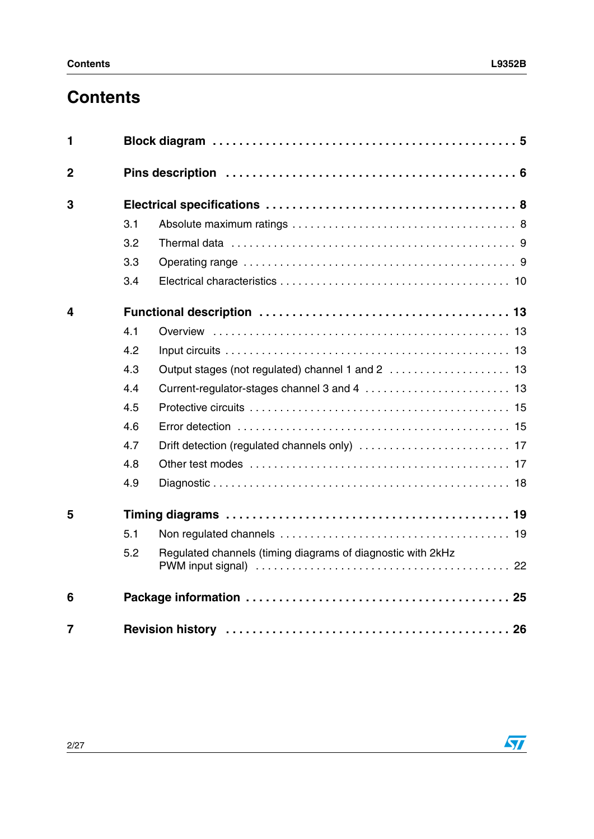# **Contents**

| 1              |     |                                                             |  |
|----------------|-----|-------------------------------------------------------------|--|
| $\overline{2}$ |     |                                                             |  |
| 3              |     |                                                             |  |
|                | 3.1 |                                                             |  |
|                | 3.2 |                                                             |  |
|                | 3.3 |                                                             |  |
|                | 3.4 |                                                             |  |
| 4              |     |                                                             |  |
|                | 4.1 |                                                             |  |
|                | 4.2 |                                                             |  |
|                | 4.3 |                                                             |  |
|                | 4.4 |                                                             |  |
|                | 4.5 |                                                             |  |
|                | 4.6 |                                                             |  |
|                | 4.7 |                                                             |  |
|                | 4.8 |                                                             |  |
|                | 4.9 |                                                             |  |
| 5              |     |                                                             |  |
|                | 5.1 |                                                             |  |
|                | 5.2 | Regulated channels (timing diagrams of diagnostic with 2kHz |  |
| 6              |     |                                                             |  |
| 7              |     |                                                             |  |

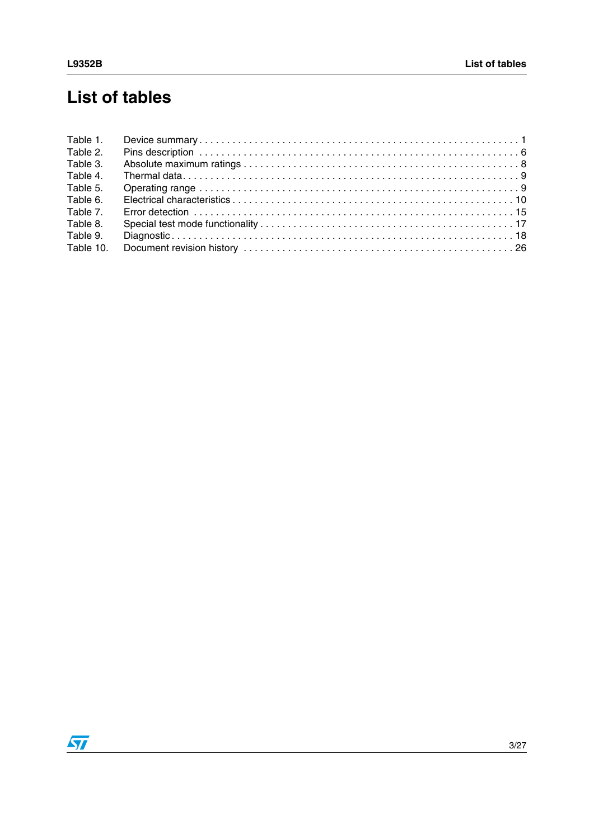# **List of tables**

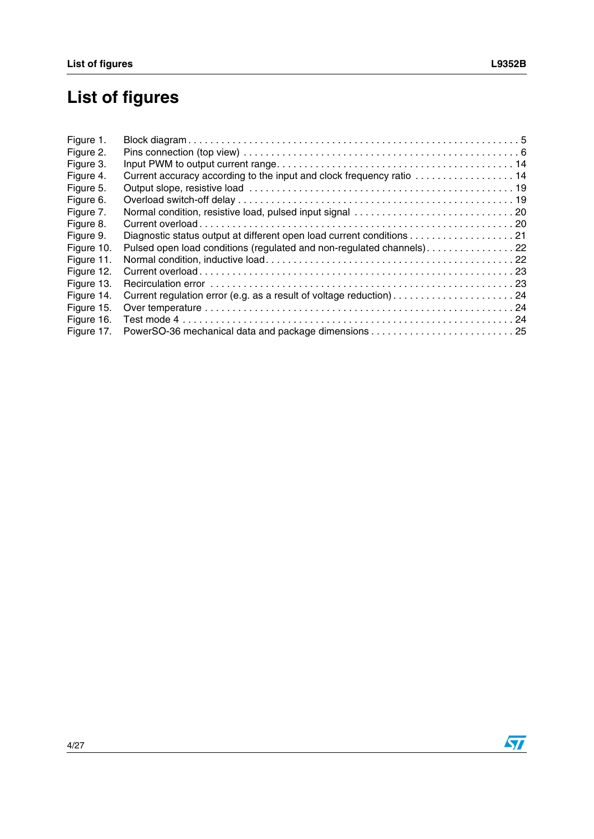# **List of figures**

| Current accuracy according to the input and clock frequency ratio  14 |  |
|-----------------------------------------------------------------------|--|
|                                                                       |  |
|                                                                       |  |
|                                                                       |  |
|                                                                       |  |
| Diagnostic status output at different open load current conditions 21 |  |
| Pulsed open load conditions (regulated and non-regulated channels)22  |  |
|                                                                       |  |
|                                                                       |  |
|                                                                       |  |
|                                                                       |  |
|                                                                       |  |
|                                                                       |  |
|                                                                       |  |
|                                                                       |  |

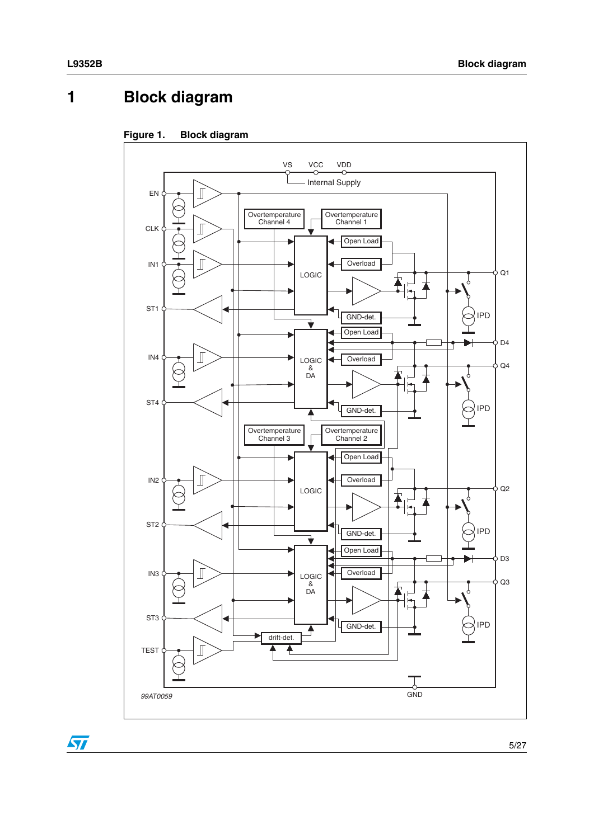# <span id="page-4-0"></span>**1 Block diagram**

<span id="page-4-1"></span>



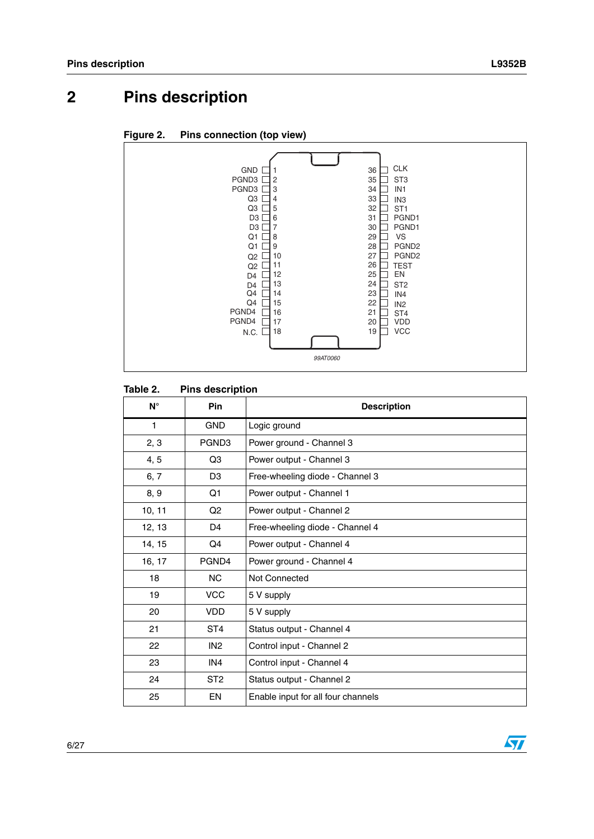# <span id="page-5-0"></span>**2 Pins description**

<span id="page-5-2"></span>



#### <span id="page-5-1"></span>Table 2. **Pins description**

| $N^{\circ}$  | <b>Pin</b>        | <b>Description</b>                 |
|--------------|-------------------|------------------------------------|
| $\mathbf{1}$ | <b>GND</b>        | Logic ground                       |
| 2, 3         | PGND <sub>3</sub> | Power ground - Channel 3           |
| 4, 5         | Q3                | Power output - Channel 3           |
| 6, 7         | D <sub>3</sub>    | Free-wheeling diode - Channel 3    |
| 8, 9         | Q1                | Power output - Channel 1           |
| 10, 11       | Q <sub>2</sub>    | Power output - Channel 2           |
| 12, 13       | D4                | Free-wheeling diode - Channel 4    |
| 14, 15       | Q4                | Power output - Channel 4           |
| 16, 17       | PGND4             | Power ground - Channel 4           |
| 18           | N <sub>C</sub>    | <b>Not Connected</b>               |
| 19           | <b>VCC</b>        | 5 V supply                         |
| 20           | <b>VDD</b>        | 5 V supply                         |
| 21           | ST <sub>4</sub>   | Status output - Channel 4          |
| 22           | IN <sub>2</sub>   | Control input - Channel 2          |
| 23           | IN4               | Control input - Channel 4          |
| 24           | ST <sub>2</sub>   | Status output - Channel 2          |
| 25           | EN                | Enable input for all four channels |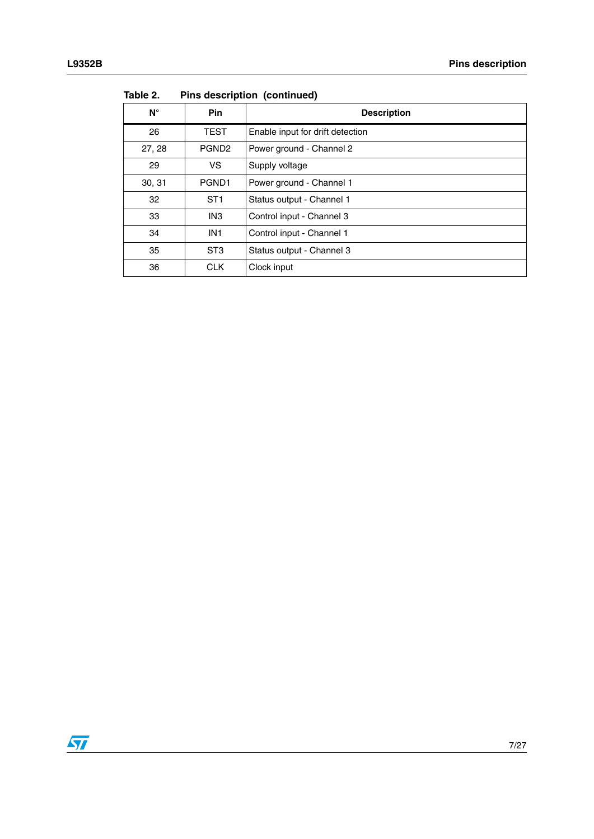| $N^{\circ}$ | <b>Pin</b>        | <b>Description</b>               |
|-------------|-------------------|----------------------------------|
| 26          | <b>TEST</b>       | Enable input for drift detection |
| 27, 28      | PGND <sub>2</sub> | Power ground - Channel 2         |
| 29          | VS.               | Supply voltage                   |
| 30, 31      | PGND <sub>1</sub> | Power ground - Channel 1         |
| 32          | ST <sub>1</sub>   | Status output - Channel 1        |
| 33          | IN <sub>3</sub>   | Control input - Channel 3        |
| 34          | IN <sub>1</sub>   | Control input - Channel 1        |
| 35          | ST <sub>3</sub>   | Status output - Channel 3        |
| 36          | <b>CLK</b>        | Clock input                      |

**Table 2. Pins description (continued)**

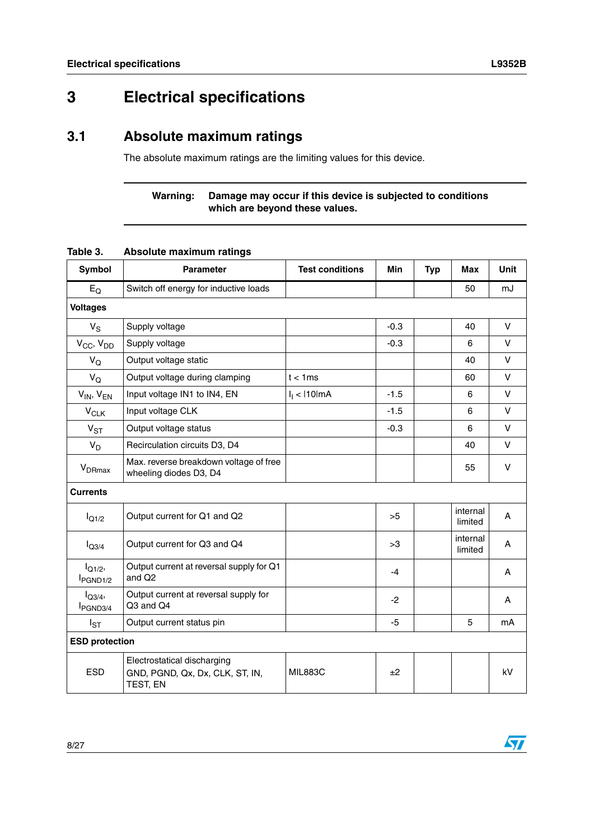$\sqrt{2}$ 

# <span id="page-7-0"></span>**3 Electrical specifications**

## <span id="page-7-1"></span>**3.1 Absolute maximum ratings**

The absolute maximum ratings are the limiting values for this device.

### **Warning: Damage may occur if this device is subjected to conditions which are beyond these values.**

| Symbol                            | <b>Parameter</b>                                                           | <b>Test conditions</b> | Min    | <b>Typ</b> | <b>Max</b>          | <b>Unit</b> |  |
|-----------------------------------|----------------------------------------------------------------------------|------------------------|--------|------------|---------------------|-------------|--|
| $E_{\rm O}$                       | Switch off energy for inductive loads                                      |                        |        |            | 50                  | mJ          |  |
| <b>Voltages</b>                   |                                                                            |                        |        |            |                     |             |  |
| $V_S$                             | Supply voltage                                                             |                        | $-0.3$ |            | 40                  | $\vee$      |  |
| $V_{CC}$ , $V_{DD}$               | Supply voltage                                                             |                        | $-0.3$ |            | 6                   | $\vee$      |  |
| $V_{\rm O}$                       | Output voltage static                                                      |                        |        |            | 40                  | $\vee$      |  |
| $V_Q$                             | Output voltage during clamping                                             | $t < 1$ ms             |        |            | 60                  | V           |  |
| $V_{IN}$ , $V_{EN}$               | Input voltage IN1 to IN4, EN                                               | $I_1$ < 110 lm A       | $-1.5$ |            | 6                   | V           |  |
| $V_{CLK}$                         | Input voltage CLK                                                          |                        | $-1.5$ |            | 6                   | V           |  |
| $V_{ST}$                          | Output voltage status                                                      |                        | $-0.3$ |            | 6                   | V           |  |
| $V_D$                             | Recirculation circuits D3, D4                                              |                        |        |            | 40                  | V           |  |
| $V_{DRmax}$                       | Max. reverse breakdown voltage of free<br>wheeling diodes D3, D4           |                        |        |            | 55                  | $\vee$      |  |
| <b>Currents</b>                   |                                                                            |                        |        |            |                     |             |  |
| $I_{Q1/2}$                        | Output current for Q1 and Q2                                               |                        | >5     |            | internal<br>limited | A           |  |
| $I_{Q3/4}$                        | Output current for Q3 and Q4                                               |                        | >3     |            | internal<br>limited | A           |  |
| $I_{Q1/2}$<br>PGND <sub>1/2</sub> | Output current at reversal supply for Q1<br>and Q <sub>2</sub>             |                        | $-4$   |            |                     | A           |  |
| $I_{Q3/4}$<br>PGND3/4             | Output current at reversal supply for<br>Q3 and Q4                         |                        | $-2$   |            |                     | A           |  |
| $I_{ST}$                          | Output current status pin                                                  |                        | $-5$   |            | 5                   | mA          |  |
| <b>ESD protection</b>             |                                                                            |                        |        |            |                     |             |  |
| <b>ESD</b>                        | Electrostatical discharging<br>GND, PGND, Qx, Dx, CLK, ST, IN,<br>TEST, EN | <b>MIL883C</b>         | ±2     |            |                     | kV          |  |

#### <span id="page-7-2"></span>**Table 3. Absolute maximum ratings**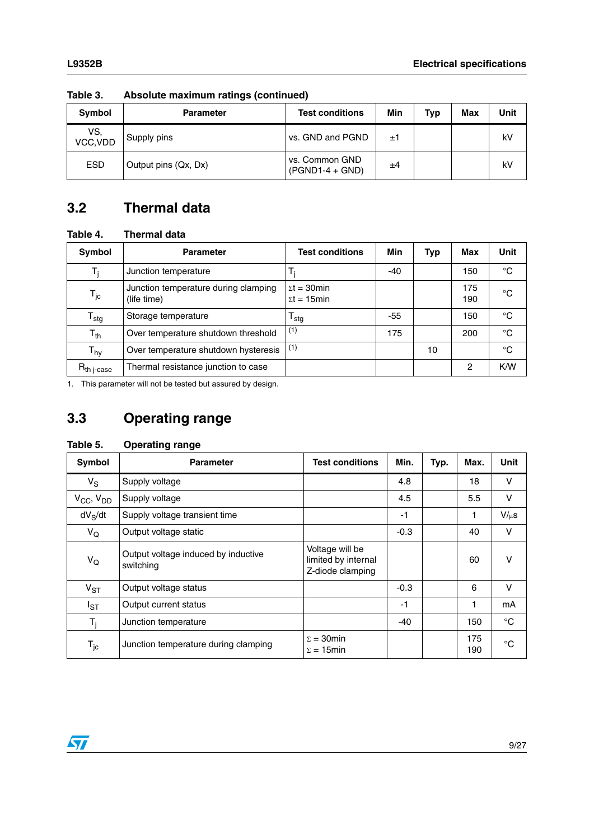| Symbol          | <b>Parameter</b>     | <b>Test conditions</b>              | Min | <b>Typ</b> | Max | Unit |
|-----------------|----------------------|-------------------------------------|-----|------------|-----|------|
| VS,<br>VCC, VDD | Supply pins          | vs. GND and PGND                    | ±1  |            |     | kV   |
| <b>ESD</b>      | Output pins (Qx, Dx) | vs. Common GND<br>$(PGND1-4 + GND)$ | ±4  |            |     | kV   |

**Table 3. Absolute maximum ratings (continued)**

# <span id="page-8-0"></span>**3.2 Thermal data**

<span id="page-8-2"></span>**Table 4. Thermal data**

| Symbol                     | <b>Parameter</b>                                    | <b>Test conditions</b>                                                                | Min   | Typ | Max        | Unit        |
|----------------------------|-----------------------------------------------------|---------------------------------------------------------------------------------------|-------|-----|------------|-------------|
| т.                         | Junction temperature                                |                                                                                       | $-40$ |     | 150        | °C          |
| $\mathsf{T}_{\mathsf{jc}}$ | Junction temperature during clamping<br>(life time) | $\mathsf{\Sigma} \mathsf{t} = 30$ min<br>$\mathsf{\Sigma} \mathsf{t} = 15 \text{min}$ |       |     | 175<br>190 | °C          |
| ${\mathsf T}_{\text{stg}}$ | Storage temperature                                 | stg                                                                                   | -55   |     | 150        | °C          |
| $T_{th}$                   | Over temperature shutdown threshold                 | (1)                                                                                   | 175   |     | 200        | $^{\circ}C$ |
| $\mathsf{T}_{\mathsf{hy}}$ | Over temperature shutdown hysteresis                | (1)                                                                                   |       | 10  |            | °C          |
| $R_{\mathsf{th}}$ j-case   | Thermal resistance junction to case                 |                                                                                       |       |     | 2          | K/W         |

<span id="page-8-4"></span>1. This parameter will not be tested but assured by design.

# <span id="page-8-1"></span>**3.3 Operating range**

<span id="page-8-3"></span>

| Table 5. | <b>Operating range</b> |  |
|----------|------------------------|--|
|----------|------------------------|--|

| Symbol                     | <b>Parameter</b>                                 | <b>Test conditions</b>                                     | Min.   | Typ. | Max.       | <b>Unit</b>  |
|----------------------------|--------------------------------------------------|------------------------------------------------------------|--------|------|------------|--------------|
| $V_S$                      | Supply voltage                                   |                                                            | 4.8    |      | 18         | v            |
| $V_{CC}$ , $V_{DD}$        | Supply voltage                                   |                                                            | 4.5    |      | 5.5        | v            |
| $dV_S/dt$                  | Supply voltage transient time                    |                                                            | -1     |      | 1          | $V/\mu s$    |
| $V_{\mathsf{Q}}$           | Output voltage static                            |                                                            | $-0.3$ |      | 40         | v            |
| $V_Q$                      | Output voltage induced by inductive<br>switching | Voltage will be<br>limited by internal<br>Z-diode clamping |        |      | 60         | v            |
| $V_{ST}$                   | Output voltage status                            |                                                            | $-0.3$ |      | 6          | $\vee$       |
| $I_{ST}$                   | Output current status                            |                                                            | -1     |      | 1          | mA           |
| $T_i$                      | Junction temperature                             |                                                            | -40    |      | 150        | $^{\circ}C$  |
| $\mathsf{T}_{\mathsf{jc}}$ | Junction temperature during clamping             | $\Sigma = 30$ min<br>$\Sigma = 15$ min                     |        |      | 175<br>190 | $^{\circ}$ C |

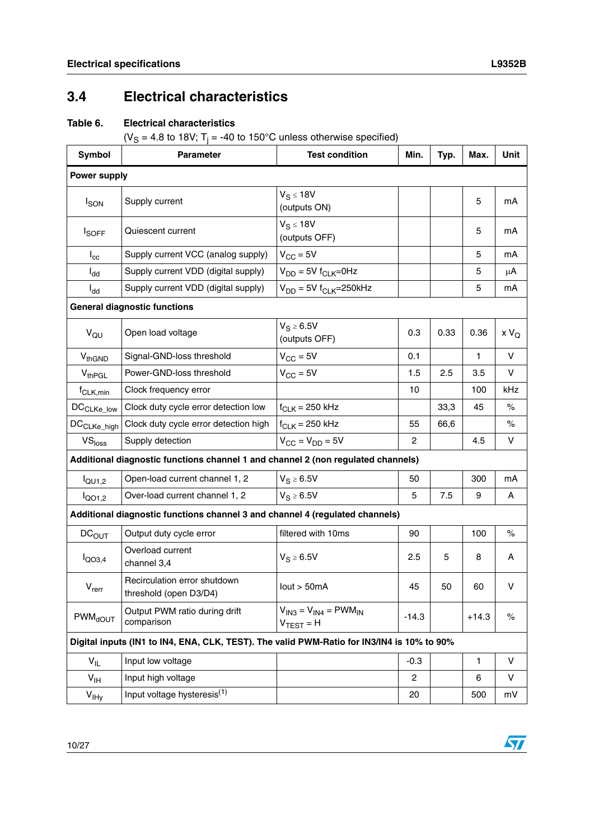# <span id="page-9-0"></span>**3.4 Electrical characteristics**

### <span id="page-9-1"></span>**Table 6. Electrical characteristics**

(V<sub>S</sub> = 4.8 to 18V; T<sub>j</sub> = -40 to 150°C unless otherwise specified)

| <b>Symbol</b>             | <b>Parameter</b>                                                                           | <b>Test condition</b>                                   | Min.           | Typ. | Max.         | <b>Unit</b> |  |  |
|---------------------------|--------------------------------------------------------------------------------------------|---------------------------------------------------------|----------------|------|--------------|-------------|--|--|
| <b>Power supply</b>       |                                                                                            |                                                         |                |      |              |             |  |  |
| <b>I</b> <sub>SON</sub>   | Supply current                                                                             | $V_S \leq 18V$<br>(outputs ON)                          |                |      | 5            | mA          |  |  |
| $I_{\text{SOFF}}$         | Quiescent current                                                                          | $V_S \leq 18V$<br>(outputs OFF)                         |                |      | 5            | mA          |  |  |
| $I_{\rm cc}$              | Supply current VCC (analog supply)                                                         | $V_{\text{CC}} = 5V$                                    |                |      | 5            | mA          |  |  |
| $I_{dd}$                  | Supply current VDD (digital supply)                                                        | $V_{DD} = 5V f_{CLK} = 0Hz$                             |                |      | 5            | μA          |  |  |
| $I_{dd}$                  | Supply current VDD (digital supply)                                                        | $V_{DD} = 5V f_{CLK} = 250kHz$                          |                |      | 5            | mA          |  |  |
|                           | <b>General diagnostic functions</b>                                                        |                                                         |                |      |              |             |  |  |
| $V_{QU}$                  | Open load voltage                                                                          | $V_S \geq 6.5V$<br>(outputs OFF)                        | 0.3            | 0.33 | 0.36         | $xV_Q$      |  |  |
| V <sub>thGND</sub>        | Signal-GND-loss threshold                                                                  | $V_{CC} = 5V$                                           | 0.1            |      | $\mathbf{1}$ | V           |  |  |
| $V_{th}$ PGL              | Power-GND-loss threshold                                                                   | $V_{\text{CC}} = 5V$                                    | 1.5            | 2.5  | 3.5          | V           |  |  |
| $f_{CLK,min}$             | Clock frequency error                                                                      |                                                         | 10             |      | 100          | kHz         |  |  |
| DC <sub>CLKe_low</sub>    | Clock duty cycle error detection low                                                       | $f_{CLK}$ = 250 kHz                                     |                | 33,3 | 45           | $\%$        |  |  |
| DC <sub>CLKe_high</sub>   | Clock duty cycle error detection high                                                      | $f_{CLK}$ = 250 kHz                                     | 55             | 66,6 |              | $\%$        |  |  |
| VS <sub>loss</sub>        | Supply detection                                                                           | $V_{CC} = V_{DD} = 5V$                                  | 2              |      | 4.5          | V           |  |  |
|                           | Additional diagnostic functions channel 1 and channel 2 (non regulated channels)           |                                                         |                |      |              |             |  |  |
| $I_{\text{QU1,2}}$        | Open-load current channel 1, 2                                                             | $V_S \geq 6.5V$                                         | 50             |      | 300          | mA          |  |  |
| $I_{QO1,2}$               | Over-load current channel 1, 2                                                             | $V_S \geq 6.5V$                                         | 5              | 7.5  | 9            | A           |  |  |
|                           | Additional diagnostic functions channel 3 and channel 4 (regulated channels)               |                                                         |                |      |              |             |  |  |
| DC <sub>OUT</sub>         | Output duty cycle error                                                                    | filtered with 10ms                                      | 90             |      | 100          | $\%$        |  |  |
| $I_{QO3,4}$               | Overload current<br>channel 3,4                                                            | $V_S \ge 6.5V$                                          | 2.5            | 5    | 8            | A           |  |  |
| $V_{\text{rerr}}$         | Recirculation error shutdown<br>threshold (open D3/D4)                                     | lout > 50mA                                             | 45             | 50   | 60           | ٧           |  |  |
| <b>PWM<sub>dOUT</sub></b> | Output PWM ratio during drift<br>comparison                                                | $V_{IN3} = V_{IN4} = PWM_{IN}$<br>$V_{\text{TEST}} = H$ | $-14.3$        |      | $+14.3$      | $\%$        |  |  |
|                           | Digital inputs (IN1 to IN4, ENA, CLK, TEST). The valid PWM-Ratio for IN3/IN4 is 10% to 90% |                                                         |                |      |              |             |  |  |
| $V_{IL}$                  | Input low voltage                                                                          |                                                         | $-0.3$         |      | $\mathbf{1}$ | V           |  |  |
| $V_{\text{IH}}$           | Input high voltage                                                                         |                                                         | $\overline{2}$ |      | 6            | V           |  |  |
| $V_{IHy}$                 | Input voltage hysteresis <sup>(1)</sup>                                                    |                                                         | 20             |      | 500          | mV          |  |  |

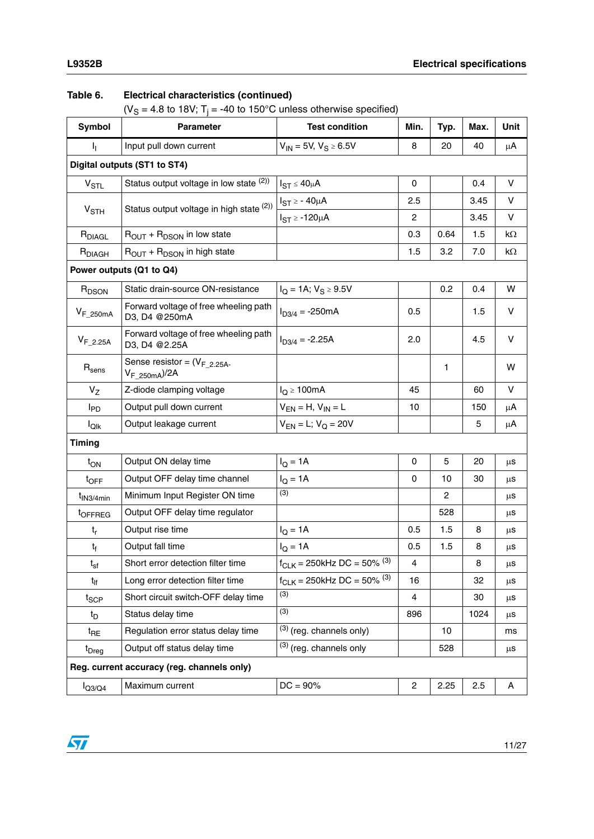### **Table 6. Electrical characteristics (continued)**

(V<sub>S</sub> = 4.8 to 18V; T<sub>j</sub> = -40 to 150°C unless otherwise specified)

| <b>Symbol</b>                                                                     | <b>Parameter</b>                           | <b>Test condition</b>                      | Min.           | Typ.           | Max. | Unit    |  |  |  |
|-----------------------------------------------------------------------------------|--------------------------------------------|--------------------------------------------|----------------|----------------|------|---------|--|--|--|
| Т,                                                                                | Input pull down current                    | $V_{IN}$ = 5V, $V_S \ge 6.5V$              | 8              | 20             | 40   | $\mu$ A |  |  |  |
|                                                                                   | Digital outputs (ST1 to ST4)               |                                            |                |                |      |         |  |  |  |
| $V_{STL}$                                                                         | Status output voltage in low state (2))    | $I_{ST} \leq 40 \mu A$                     | $\mathbf 0$    |                | 0.4  | $\vee$  |  |  |  |
|                                                                                   |                                            | $I_{ST} \ge -40 \mu A$                     | 2.5            |                | 3.45 | V       |  |  |  |
| V <sub>STH</sub>                                                                  | Status output voltage in high state (2))   | $I_{ST} \ge -120 \mu A$                    | $\overline{c}$ |                | 3.45 | V       |  |  |  |
| R <sub>DIAGL</sub>                                                                | $R_{OUT}$ + $R_{DSON}$ in low state        |                                            | 0.3            | 0.64           | 1.5  | kΩ      |  |  |  |
| R <sub>DIAGH</sub>                                                                | $R_{OUT}$ + $R_{DSON}$ in high state       |                                            | 1.5            | 3.2            | 7.0  | kΩ      |  |  |  |
|                                                                                   | Power outputs (Q1 to Q4)                   |                                            |                |                |      |         |  |  |  |
| R <sub>DSON</sub>                                                                 | Static drain-source ON-resistance          | $I_Q = 1A; V_S \ge 9.5V$                   |                | 0.2            | 0.4  | W       |  |  |  |
| Forward voltage of free wheeling path<br>$V_{F_250mA}$<br>D3, D4 @250mA           |                                            | $I_{D3/4} = -250mA$                        | 0.5            |                | 1.5  | V       |  |  |  |
| Forward voltage of free wheeling path<br>$V_{F_2.25A}$<br>D3, D4 @2.25A           |                                            | $I_{D3/4} = -2.25A$                        | 2.0            |                | 4.5  | V       |  |  |  |
| Sense resistor = $(V_F 2.25A -$<br>$R_{\text{sens}}$<br>V <sub>F_250mA</sub> )/2A |                                            |                                            |                | 1              |      | W       |  |  |  |
| $V_{Z}$<br>Z-diode clamping voltage                                               |                                            | $I_Q \ge 100mA$                            | 45             |                | 60   | v       |  |  |  |
| Output pull down current<br>$I_{PD}$                                              |                                            | $V_{EN} = H$ , $V_{IN} = L$                | 10             |                | 150  | μA      |  |  |  |
| Output leakage current<br>$I_{\text{Qlk}}$                                        |                                            | $V_{EN} = L$ ; $V_Q = 20V$                 |                |                | 5    | μA      |  |  |  |
| Timing                                                                            |                                            |                                            |                |                |      |         |  |  |  |
| $t_{ON}$                                                                          | Output ON delay time                       | $I_Q = 1A$                                 | 0              | 5              | 20   | μS      |  |  |  |
| Output OFF delay time channel<br>$t_{\text{OFF}}$                                 |                                            | $I_Q = 1A$                                 | 0              | 10             | 30   | μS      |  |  |  |
| $t_{IN3/4min}$                                                                    | Minimum Input Register ON time             | (3)                                        |                | $\overline{c}$ |      | μS      |  |  |  |
| toFFREG                                                                           | Output OFF delay time regulator            |                                            |                | 528            |      | μS      |  |  |  |
| $t_{r}$                                                                           | Output rise time                           | $I_Q = 1A$                                 | 0.5            | 1.5            | 8    | μS      |  |  |  |
| $t_{\rm f}$                                                                       | Output fall time                           | $I_Q = 1A$                                 | 0.5            | 1.5            | 8    | μS      |  |  |  |
| $t_{sf}$                                                                          | Short error detection filter time          | $f_{CLK} = 250$ kHz DC = 50% $(3)$         | 4              |                | 8    | μS      |  |  |  |
| Long error detection filter time<br>$t_{\text{lf}}$                               |                                            | $f_{CLK}$ = 250kHz DC = 50% <sup>(3)</sup> | 16             |                | 32   | μS      |  |  |  |
| $t_{\text{SCP}}$                                                                  | Short circuit switch-OFF delay time        | (3)                                        | $\overline{4}$ |                | 30   | μS      |  |  |  |
| Status delay time<br>$t_D$                                                        |                                            | (3)                                        | 896            |                | 1024 | μS      |  |  |  |
| Regulation error status delay time<br>$t_{\sf RE}$                                |                                            | $(3)$ (reg. channels only)                 |                | 10             |      | ms      |  |  |  |
| t <sub>Dreg</sub>                                                                 | Output off status delay time               | $(3)$ (reg. channels only                  |                | 528            |      | $\mu$ S |  |  |  |
|                                                                                   | Reg. current accuracy (reg. channels only) |                                            |                |                |      |         |  |  |  |
| $I_{Q3/Q4}$                                                                       | Maximum current                            | $DC = 90\%$                                | $\overline{c}$ | 2.25           | 2.5  | Α       |  |  |  |

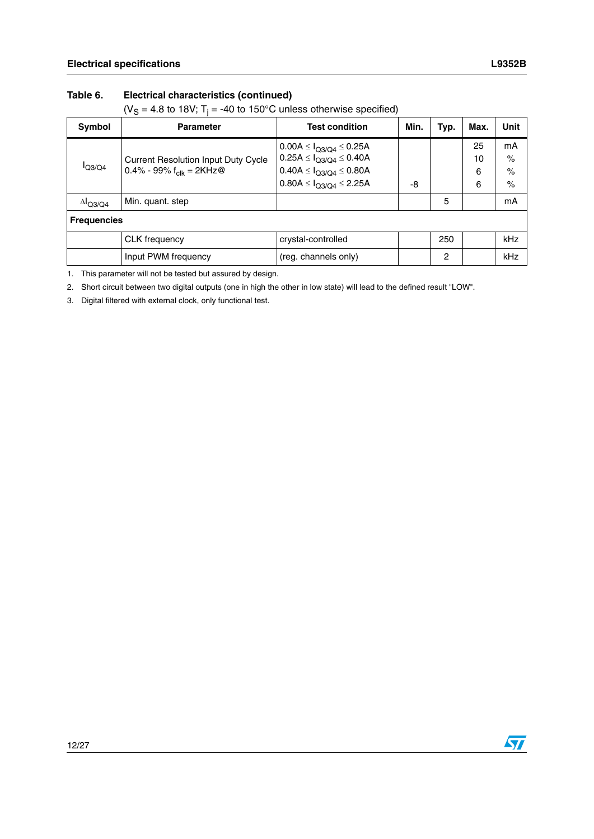### **Table 6. Electrical characteristics (continued)**

(V<sub>S</sub> = 4.8 to 18V; T<sub>j</sub> = -40 to 150°C unless otherwise specified)

| Symbol                    | <b>Parameter</b>                                                                  | <b>Test condition</b>                                                                                                                            | Min. | Typ.           | Max.               | Unit                       |
|---------------------------|-----------------------------------------------------------------------------------|--------------------------------------------------------------------------------------------------------------------------------------------------|------|----------------|--------------------|----------------------------|
| I <sub>Q3/Q4</sub>        | <b>Current Resolution Input Duty Cycle</b><br>0.4% - 99% $f_{\text{clk}} = 2KHz@$ | $0.00A \leq I_{O3/O4} \leq 0.25A$<br>$0.25A \leq I_{Q3/Q4} \leq 0.40A$<br>$0.40A \leq I_{Q3/Q4} \leq 0.80A$<br>$0.80A \leq I_{Q3/Q4} \leq 2.25A$ | -8   |                | 25<br>10<br>6<br>6 | mA<br>$\%$<br>$\%$<br>$\%$ |
| $\Delta$ <sub>Q3/Q4</sub> | Min. quant. step                                                                  |                                                                                                                                                  |      | 5              |                    | mA                         |
| <b>Frequencies</b>        |                                                                                   |                                                                                                                                                  |      |                |                    |                            |
|                           | CLK frequency                                                                     | crystal-controlled                                                                                                                               |      | 250            |                    | kHz                        |
|                           | Input PWM frequency                                                               | (reg. channels only)                                                                                                                             |      | $\overline{c}$ |                    | kHz                        |

1. This parameter will not be tested but assured by design.

<span id="page-11-0"></span>2. Short circuit between two digital outputs (one in high the other in low state) will lead to the defined result "LOW".

<span id="page-11-1"></span>3. Digital filtered with external clock, only functional test.

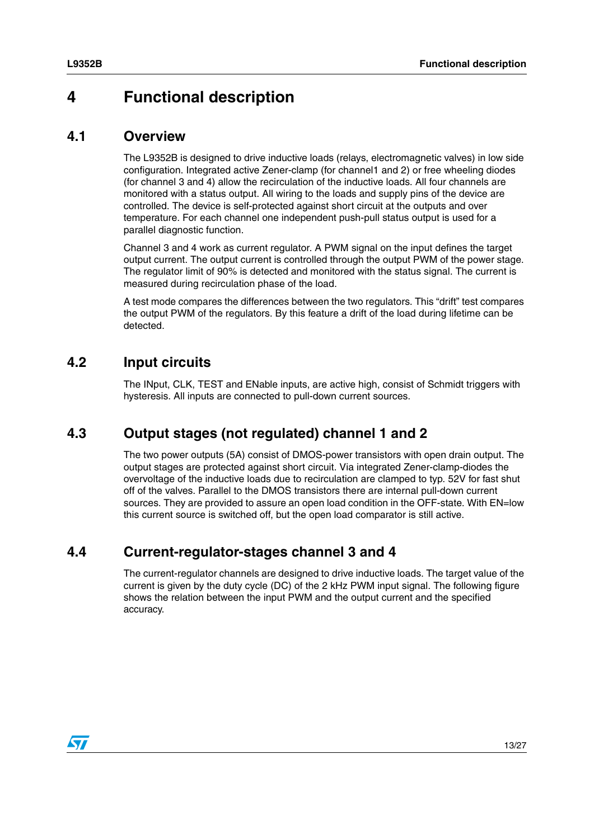# <span id="page-12-0"></span>**4 Functional description**

### <span id="page-12-1"></span>**4.1 Overview**

The L9352B is designed to drive inductive loads (relays, electromagnetic valves) in low side configuration. Integrated active Zener-clamp (for channel1 and 2) or free wheeling diodes (for channel 3 and 4) allow the recirculation of the inductive loads. All four channels are monitored with a status output. All wiring to the loads and supply pins of the device are controlled. The device is self-protected against short circuit at the outputs and over temperature. For each channel one independent push-pull status output is used for a parallel diagnostic function.

Channel 3 and 4 work as current regulator. A PWM signal on the input defines the target output current. The output current is controlled through the output PWM of the power stage. The regulator limit of 90% is detected and monitored with the status signal. The current is measured during recirculation phase of the load.

A test mode compares the differences between the two regulators. This "drift" test compares the output PWM of the regulators. By this feature a drift of the load during lifetime can be detected.

## <span id="page-12-2"></span>**4.2 Input circuits**

The INput, CLK, TEST and ENable inputs, are active high, consist of Schmidt triggers with hysteresis. All inputs are connected to pull-down current sources.

### <span id="page-12-3"></span>**4.3 Output stages (not regulated) channel 1 and 2**

The two power outputs (5A) consist of DMOS-power transistors with open drain output. The output stages are protected against short circuit. Via integrated Zener-clamp-diodes the overvoltage of the inductive loads due to recirculation are clamped to typ. 52V for fast shut off of the valves. Parallel to the DMOS transistors there are internal pull-down current sources. They are provided to assure an open load condition in the OFF-state. With EN=low this current source is switched off, but the open load comparator is still active.

### <span id="page-12-4"></span>**4.4 Current-regulator-stages channel 3 and 4**

The current-regulator channels are designed to drive inductive loads. The target value of the current is given by the duty cycle (DC) of the 2 kHz PWM input signal. The following figure shows the relation between the input PWM and the output current and the specified accuracy.

 $\sqrt{2}$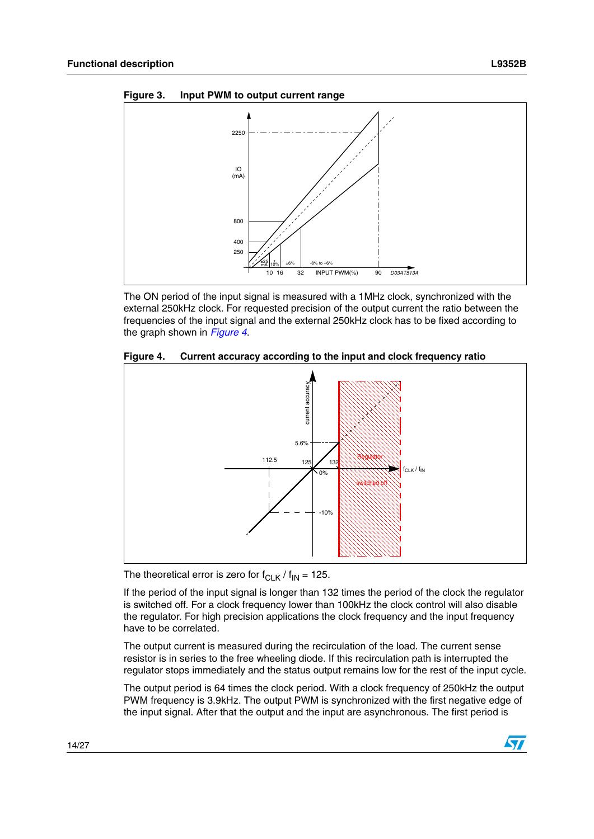<span id="page-13-0"></span>



The ON period of the input signal is measured with a 1MHz clock, synchronized with the external 250kHz clock. For requested precision of the output current the ratio between the frequencies of the input signal and the external 250kHz clock has to be fixed according to the graph shown in *[Figure 4](#page-13-1)*.

<span id="page-13-1"></span>



The theoretical error is zero for  $f_{CLK}$  /  $f_{IN}$  = 125.

If the period of the input signal is longer than 132 times the period of the clock the regulator is switched off. For a clock frequency lower than 100kHz the clock control will also disable the regulator. For high precision applications the clock frequency and the input frequency have to be correlated.

The output current is measured during the recirculation of the load. The current sense resistor is in series to the free wheeling diode. If this recirculation path is interrupted the regulator stops immediately and the status output remains low for the rest of the input cycle.

The output period is 64 times the clock period. With a clock frequency of 250kHz the output PWM frequency is 3.9kHz. The output PWM is synchronized with the first negative edge of the input signal. After that the output and the input are asynchronous. The first period is

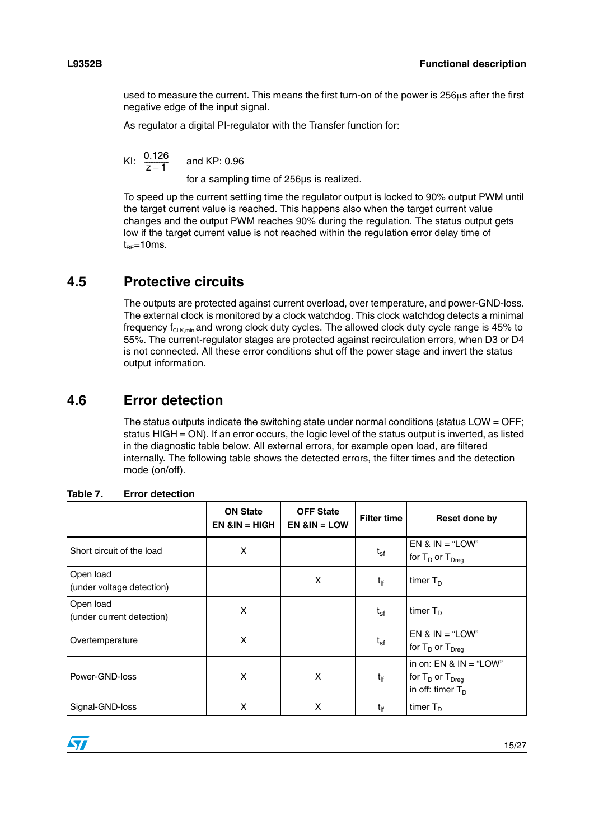used to measure the current. This means the first turn-on of the power is  $256\mu s$  after the first negative edge of the input signal.

As regulator a digital PI-regulator with the Transfer function for:

and KP: 0.96  $\frac{0.126}{z-1}$ 

for a sampling time of 256µs is realized.

To speed up the current settling time the regulator output is locked to 90% output PWM until the target current value is reached. This happens also when the target current value changes and the output PWM reaches 90% during the regulation. The status output gets low if the target current value is not reached within the regulation error delay time of  $t_{RE}$ =10ms.

## <span id="page-14-0"></span>**4.5 Protective circuits**

The outputs are protected against current overload, over temperature, and power-GND-loss. The external clock is monitored by a clock watchdog. This clock watchdog detects a minimal frequency  $f_{\text{Cl-K,min}}$  and wrong clock duty cycles. The allowed clock duty cycle range is 45% to 55%. The current-regulator stages are protected against recirculation errors, when D3 or D4 is not connected. All these error conditions shut off the power stage and invert the status output information.

## <span id="page-14-1"></span>**4.6 Error detection**

The status outputs indicate the switching state under normal conditions (status LOW  $=$  OFF; status HIGH = ON). If an error occurs, the logic level of the status output is inverted, as listed in the diagnostic table below. All external errors, for example open load, are filtered internally. The following table shows the detected errors, the filter times and the detection mode (on/off).

|                                        | <b>ON State</b><br>$EN 8IN = HIGH$ | <b>OFF State</b><br>$EN 8IN = LOW$ | <b>Filter time</b> | Reset done by                                                              |
|----------------------------------------|------------------------------------|------------------------------------|--------------------|----------------------------------------------------------------------------|
| Short circuit of the load              | X                                  |                                    | $t_{sf}$           | EN & $IN = "LOW"$<br>for $T_D$ or $T_{Dreq}$                               |
| Open load<br>(under voltage detection) |                                    | X                                  | $t_{\rm If}$       | timer $T_D$                                                                |
| Open load<br>(under current detection) | X                                  |                                    | $t_{sf}$           | timer $T_D$                                                                |
| Overtemperature                        | X                                  |                                    | $t_{sf}$           | $EN & IN = "LOW"$<br>for $T_D$ or $T_{Dreq}$                               |
| Power-GND-loss                         | X                                  | X                                  | $t_{\text{lf}}$    | in on: $EN & IN = "LOW"$<br>for $T_D$ or $T_{Dreq}$<br>in off: timer $T_D$ |
| Signal-GND-loss                        | X                                  | X                                  | $t_{\rm ff}$       | timer $T_{D}$                                                              |

<span id="page-14-2"></span>

| Table 7. |  | <b>Error detection</b> |
|----------|--|------------------------|
|----------|--|------------------------|

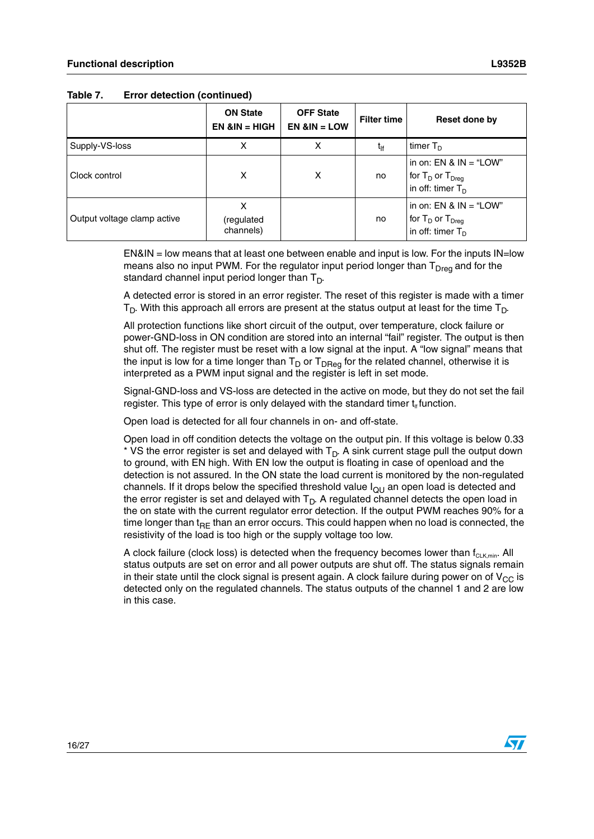|                             | <b>ON State</b><br>$EN & IN = HIGH$ | <b>OFF State</b><br>$EN 8IN = LOW$ | <b>Filter time</b> | Reset done by                                                                       |
|-----------------------------|-------------------------------------|------------------------------------|--------------------|-------------------------------------------------------------------------------------|
| Supply-VS-loss              | х                                   |                                    | $t_{\text{lf}}$    | timer $T_D$                                                                         |
| Clock control               | X                                   | X                                  | no                 | in on: $EN & IN = "LOW"$<br>for $T_D$ or $T_{Dreg}$<br>in off: timer $T_D$          |
| Output voltage clamp active | х<br>(regulated<br>channels)        |                                    | no                 | in on: $EN & IN = "LOW"$<br>for $T_D$ or $T_{Dreg}$<br>in off: timer T <sub>D</sub> |

**Table 7. Error detection (continued)**

EN&IN = low means that at least one between enable and input is low. For the inputs IN=low means also no input PWM. For the regulator input period longer than  $T<sub>Drea</sub>$  and for the standard channel input period longer than  $T_D$ .

A detected error is stored in an error register. The reset of this register is made with a timer  $T_D$ . With this approach all errors are present at the status output at least for the time  $T_D$ .

All protection functions like short circuit of the output, over temperature, clock failure or power-GND-loss in ON condition are stored into an internal "fail" register. The output is then shut off. The register must be reset with a low signal at the input. A "low signal" means that the input is low for a time longer than  $T_D$  or  $T_{DReg}$  for the related channel, otherwise it is interpreted as a PWM input signal and the register is left in set mode.

Signal-GND-loss and VS-loss are detected in the active on mode, but they do not set the fail register. This type of error is only delayed with the standard timer  $t_{\text{lf}}$  function.

Open load is detected for all four channels in on- and off-state.

Open load in off condition detects the voltage on the output pin. If this voltage is below 0.33  $*$  VS the error register is set and delayed with  $T_D$ . A sink current stage pull the output down to ground, with EN high. With EN low the output is floating in case of openload and the detection is not assured. In the ON state the load current is monitored by the non-regulated channels. If it drops below the specified threshold value  $I_{QU}$  an open load is detected and the error register is set and delayed with  $T_D$ . A regulated channel detects the open load in the on state with the current regulator error detection. If the output PWM reaches 90% for a time longer than t<sub>RF</sub> than an error occurs. This could happen when no load is connected, the resistivity of the load is too high or the supply voltage too low.

A clock failure (clock loss) is detected when the frequency becomes lower than  $f_{\text{CLK,min}}$ . All status outputs are set on error and all power outputs are shut off. The status signals remain in their state until the clock signal is present again. A clock failure during power on of  $V_{CC}$  is detected only on the regulated channels. The status outputs of the channel 1 and 2 are low in this case.



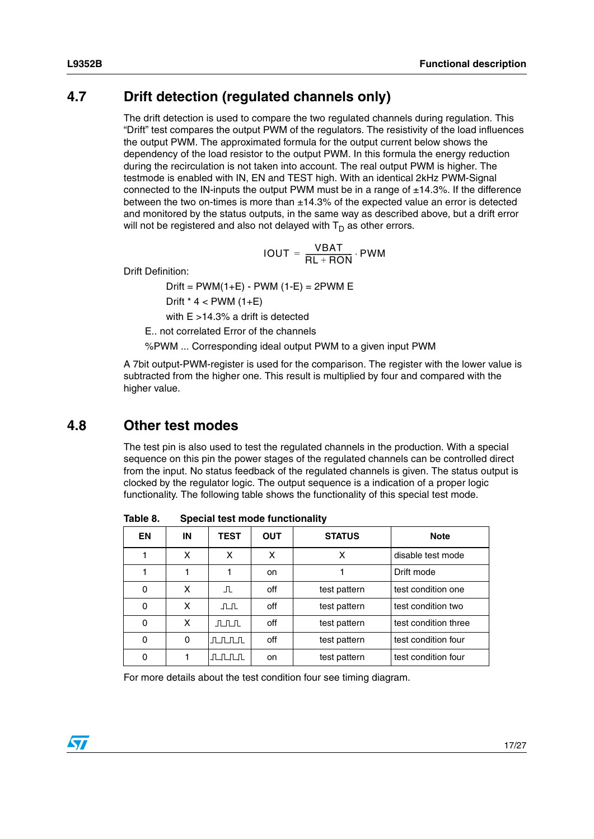## <span id="page-16-0"></span>**4.7 Drift detection (regulated channels only)**

The drift detection is used to compare the two regulated channels during regulation. This "Drift" test compares the output PWM of the regulators. The resistivity of the load influences the output PWM. The approximated formula for the output current below shows the dependency of the load resistor to the output PWM. In this formula the energy reduction during the recirculation is not taken into account. The real output PWM is higher. The testmode is enabled with IN, EN and TEST high. With an identical 2kHz PWM-Signal connected to the IN-inputs the output PWM must be in a range of  $\pm$ 14.3%. If the difference between the two on-times is more than  $\pm 14.3\%$  of the expected value an error is detected and monitored by the status outputs, in the same way as described above, but a drift error will not be registered and also not delayed with  $T_D$  as other errors.

$$
IOUT = \frac{VBAT}{RL + RON} \cdot PWM
$$

Drift Definition:

 $Drift = PWM(1+E) - PWM (1-E) = 2PWM E$ Drift  $*$  4  $<$  PWM  $(1+E)$ with  $E > 14.3\%$  a drift is detected

E.. not correlated Error of the channels

%PWM ... Corresponding ideal output PWM to a given input PWM

A 7bit output-PWM-register is used for the comparison. The register with the lower value is subtracted from the higher one. This result is multiplied by four and compared with the higher value.

### <span id="page-16-1"></span>**4.8 Other test modes**

The test pin is also used to test the regulated channels in the production. With a special sequence on this pin the power stages of the regulated channels can be controlled direct from the input. No status feedback of the regulated channels is given. The status output is clocked by the regulator logic. The output sequence is a indication of a proper logic functionality. The following table shows the functionality of this special test mode.

| EN | ΙN | <b>TEST</b> | <b>OUT</b> | <b>STATUS</b> | <b>Note</b>          |
|----|----|-------------|------------|---------------|----------------------|
|    | X  | x           | X          | x             | disable test mode    |
|    |    |             | on.        |               | Drift mode           |
| 0  | X  | ப           | off        | test pattern  | test condition one   |
| 0  | x  | பட          | off        | test pattern  | test condition two   |
| 0  | x  | ⊥⊓∟⊓∟       | off        | test pattern  | test condition three |
| 0  | 0  | лллл        | off        | test pattern  | test condition four  |
| 0  |    | ллл         | on.        | test pattern  | test condition four  |

<span id="page-16-2"></span>Table 8. **Special test mode functionality** 

For more details about the test condition four see timing diagram.

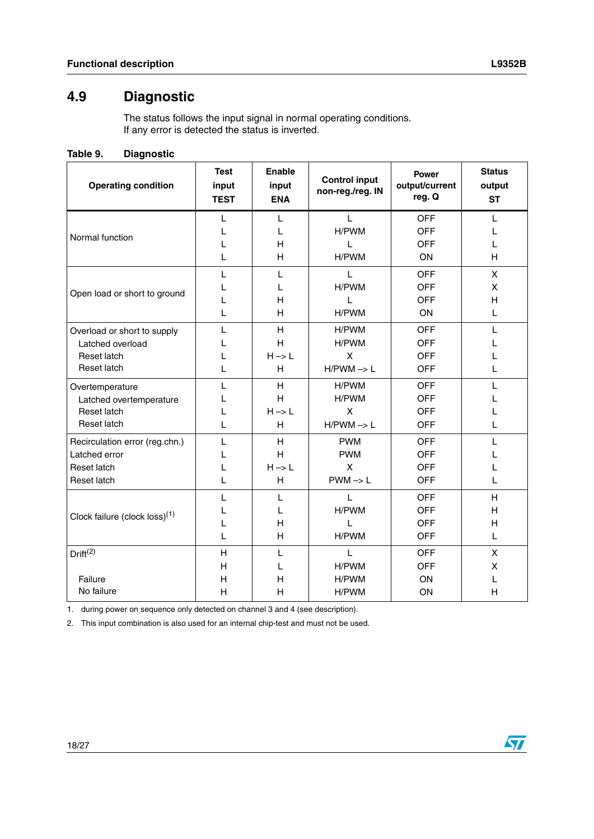# <span id="page-17-0"></span>**4.9 Diagnostic**

The status follows the input signal in normal operating conditions. If any error is detected the status is inverted.

<span id="page-17-1"></span>

| <b>Operating condition</b>                | <b>Test</b><br>input<br><b>TEST</b> | <b>Enable</b><br>input<br><b>ENA</b> | <b>Control input</b><br>non-reg./reg. IN | <b>Power</b><br>output/current<br>reg. Q | <b>Status</b><br>output<br><b>ST</b> |
|-------------------------------------------|-------------------------------------|--------------------------------------|------------------------------------------|------------------------------------------|--------------------------------------|
|                                           | L                                   | L                                    | L                                        | <b>OFF</b>                               | L                                    |
| Normal function                           | L                                   | L                                    | H/PWM                                    | <b>OFF</b>                               | L                                    |
|                                           | L                                   | H                                    | L                                        | <b>OFF</b>                               | L                                    |
|                                           | L                                   | H                                    | H/PWM                                    | <b>ON</b>                                | H                                    |
|                                           | L                                   | L                                    | L                                        | <b>OFF</b>                               | X                                    |
| Open load or short to ground              | L                                   | L                                    | H/PWM                                    | <b>OFF</b>                               | X                                    |
|                                           | L                                   | H                                    | L                                        | <b>OFF</b>                               | H                                    |
|                                           | L                                   | H                                    | H/PWM                                    | ON                                       | L                                    |
| Overload or short to supply               | L                                   | H                                    | H/PWM                                    | <b>OFF</b>                               | L                                    |
| Latched overload                          | L                                   | H                                    | H/PWM                                    | <b>OFF</b>                               |                                      |
| Reset latch                               | L                                   | $H \rightarrow L$                    | X                                        | <b>OFF</b>                               |                                      |
| Reset latch                               | L                                   | H                                    | $H/PWM \rightarrow L$                    | <b>OFF</b>                               | L                                    |
| Overtemperature                           | L                                   | H                                    | H/PWM                                    | <b>OFF</b>                               | L                                    |
| Latched overtemperature                   | L                                   | H                                    | H/PWM                                    | <b>OFF</b>                               |                                      |
| Reset latch                               | L                                   | $H \rightarrow L$                    | X                                        | <b>OFF</b>                               |                                      |
| Reset latch                               | L                                   | H                                    | $H/PWM \rightarrow L$                    | <b>OFF</b>                               | L                                    |
| Recirculation error (reg.chn.)            | L                                   | H                                    | <b>PWM</b>                               | <b>OFF</b>                               | L                                    |
| Latched error                             | L                                   | H                                    | <b>PWM</b>                               | <b>OFF</b>                               |                                      |
| Reset latch                               | L                                   | $H \rightarrow L$                    | X                                        | <b>OFF</b>                               |                                      |
| Reset latch                               | L                                   | Н                                    | $PWM \rightarrow L$                      | <b>OFF</b>                               | L                                    |
|                                           | L                                   | L                                    | $\mathbf{L}$                             | <b>OFF</b>                               | H                                    |
| Clock failure (clock loss) <sup>(1)</sup> | L                                   | L                                    | H/PWM                                    | <b>OFF</b>                               | H                                    |
|                                           | L                                   | Н                                    | L                                        | <b>OFF</b>                               | H                                    |
|                                           | L                                   | Н                                    | H/PWM                                    | <b>OFF</b>                               | L                                    |
| Drift <sup>(2)</sup>                      | H                                   | L                                    | L                                        | <b>OFF</b>                               | X                                    |
|                                           | H                                   | L                                    | H/PWM                                    | <b>OFF</b>                               | X                                    |
| Failure                                   | H                                   | Н                                    | H/PWM                                    | ON                                       | L                                    |
| No failure                                | H                                   | Н                                    | H/PWM                                    | ON                                       | H                                    |

1. during power on sequence only detected on channel 3 and 4 (see description).

2. This input combination is also used for an internal chip-test and must not be used.

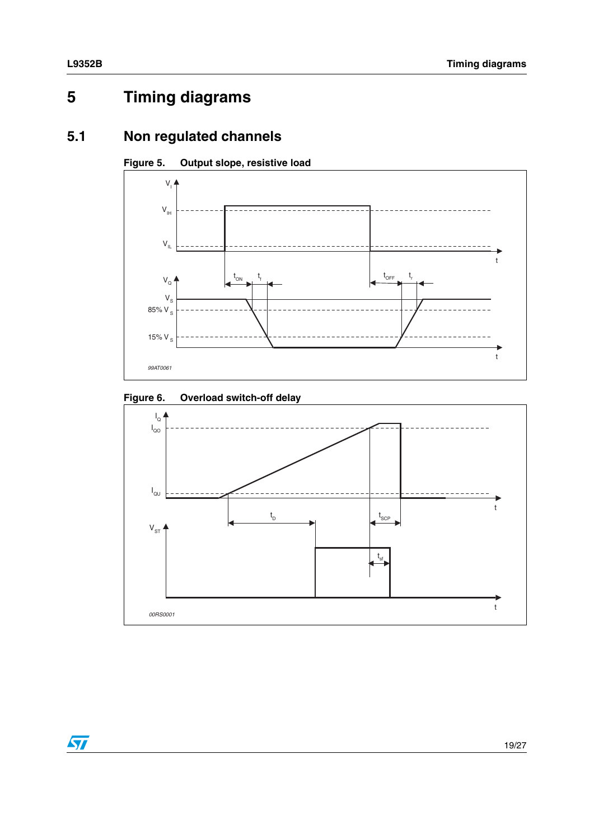# <span id="page-18-0"></span>**5 Timing diagrams**

# <span id="page-18-1"></span>**5.1 Non regulated channels**



<span id="page-18-3"></span>

<span id="page-18-2"></span>

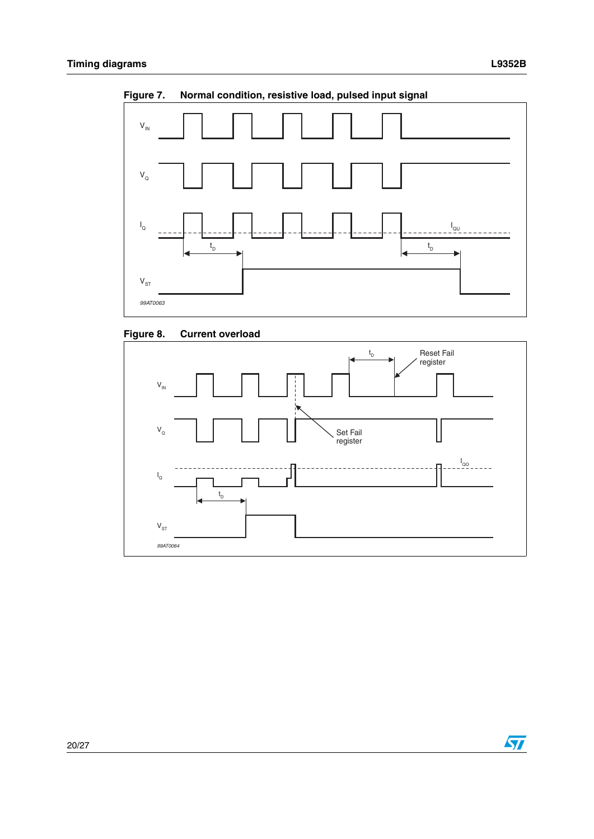

<span id="page-19-0"></span>**Figure 7. Normal condition, resistive load, pulsed input signal**

<span id="page-19-1"></span>



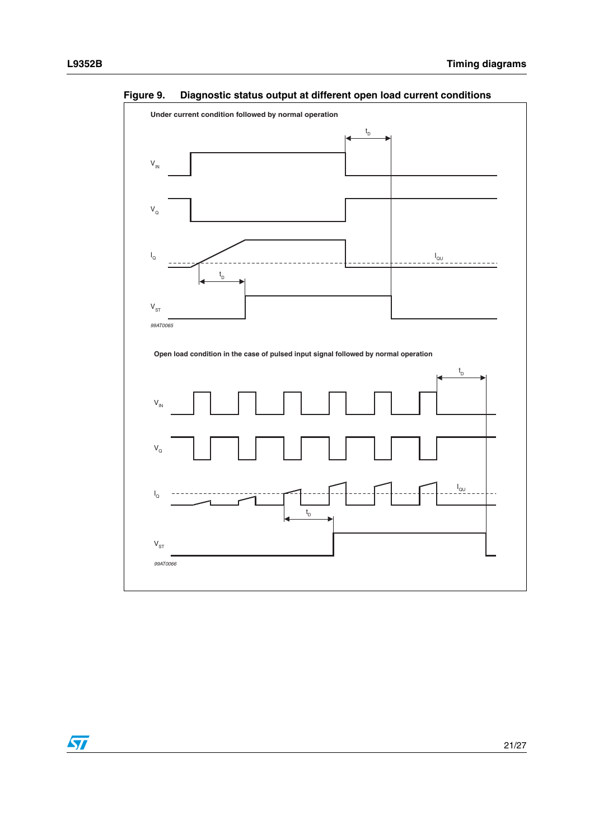

<span id="page-20-0"></span>**Figure 9. Diagnostic status output at different open load current conditions**

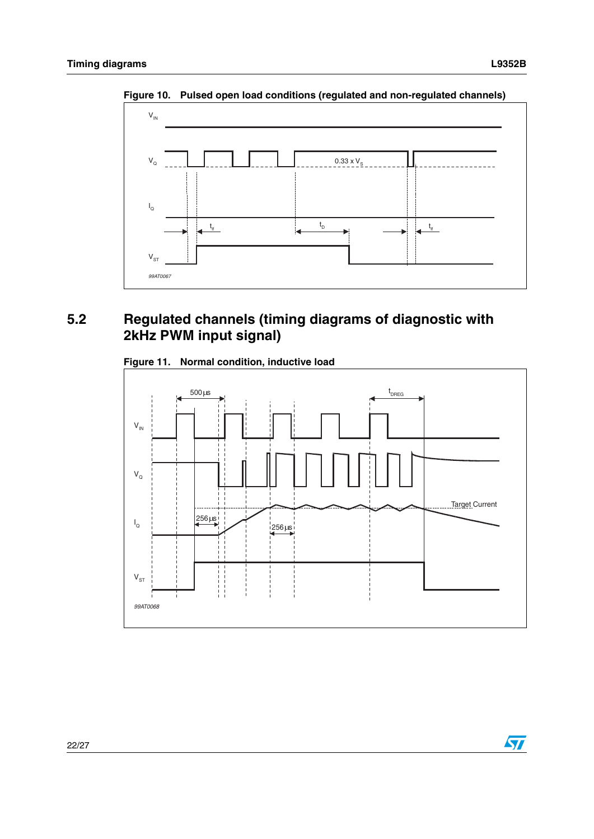

<span id="page-21-1"></span>**Figure 10. Pulsed open load conditions (regulated and non-regulated channels)**

# <span id="page-21-0"></span>**5.2 Regulated channels (timing diagrams of diagnostic with 2kHz PWM input signal)**

<span id="page-21-2"></span>



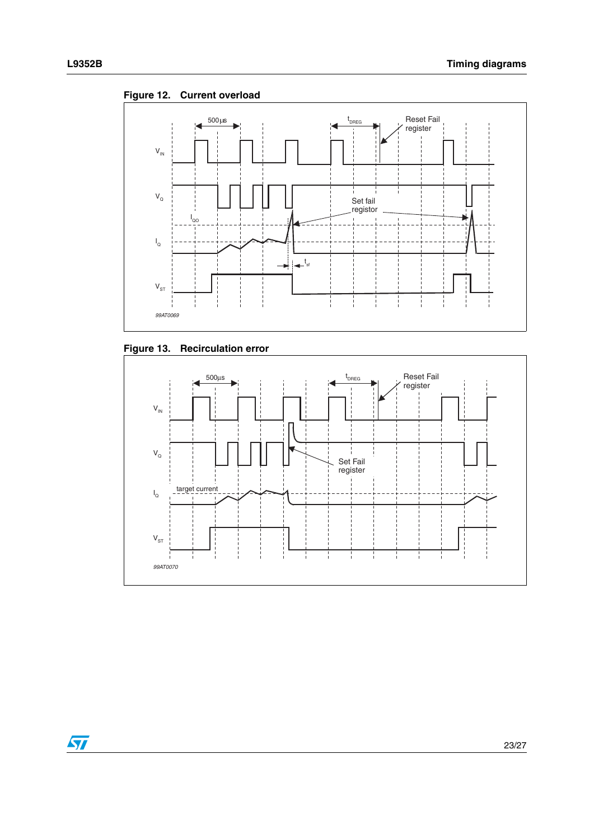

<span id="page-22-0"></span>**Figure 12. Current overload**

<span id="page-22-1"></span>



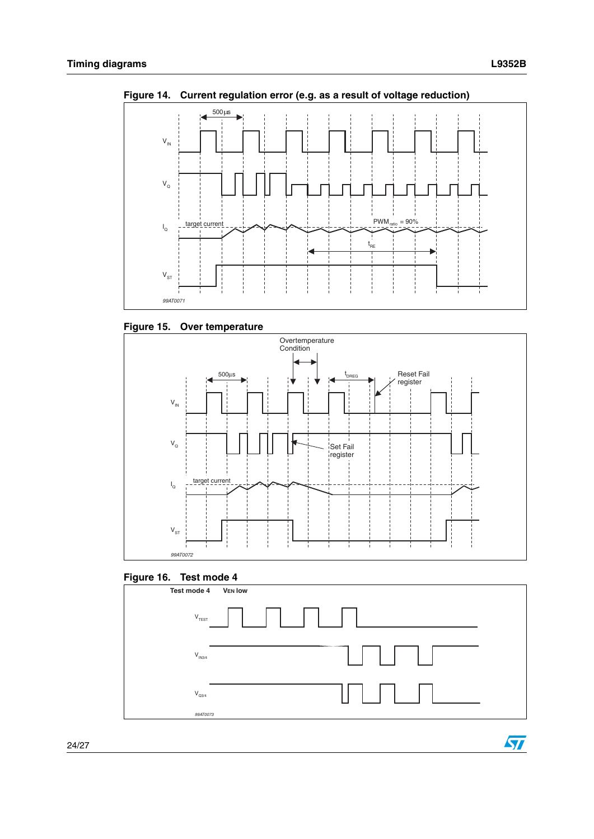$\sqrt{2}$ 



<span id="page-23-0"></span>**Figure 14. Current regulation error (e.g. as a result of voltage reduction)**

<span id="page-23-1"></span>**Figure 15. Over temperature**



#### <span id="page-23-2"></span>**Figure 16. Test mode 4**

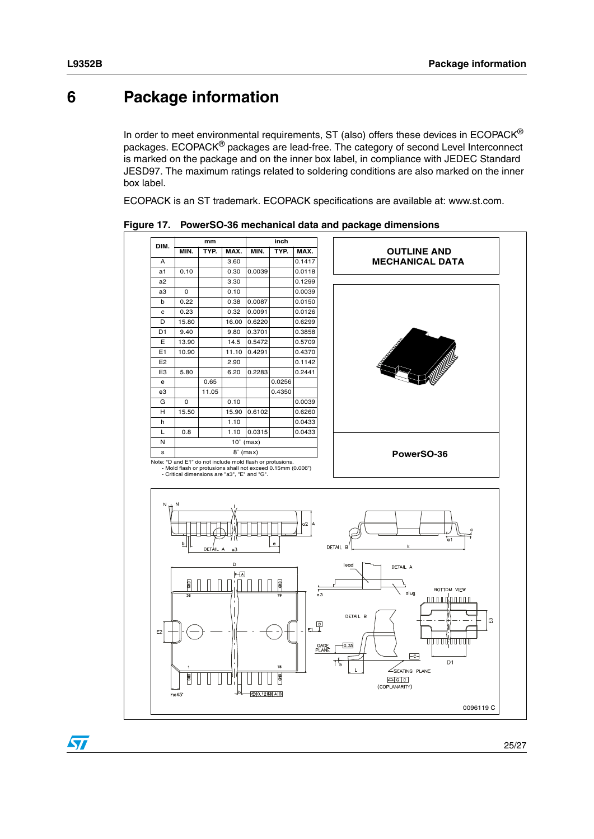# <span id="page-24-1"></span>**6 Package information**

<span id="page-24-0"></span>In order to meet environmental requirements, ST (also) offers these devices in  $ECOPACK^{\circledcirc}$ packages. ECOPACK® packages are lead-free. The category of second Level Interconnect is marked on the package and on the inner box label, in compliance with JEDEC Standard JESD97. The maximum ratings related to soldering conditions are also marked on the inner box label.

ECOPACK is an ST trademark. ECOPACK specifications are available at: www.st.com.



<span id="page-24-2"></span>**Figure 17. PowerSO-36 mechanical data and package dimensions**

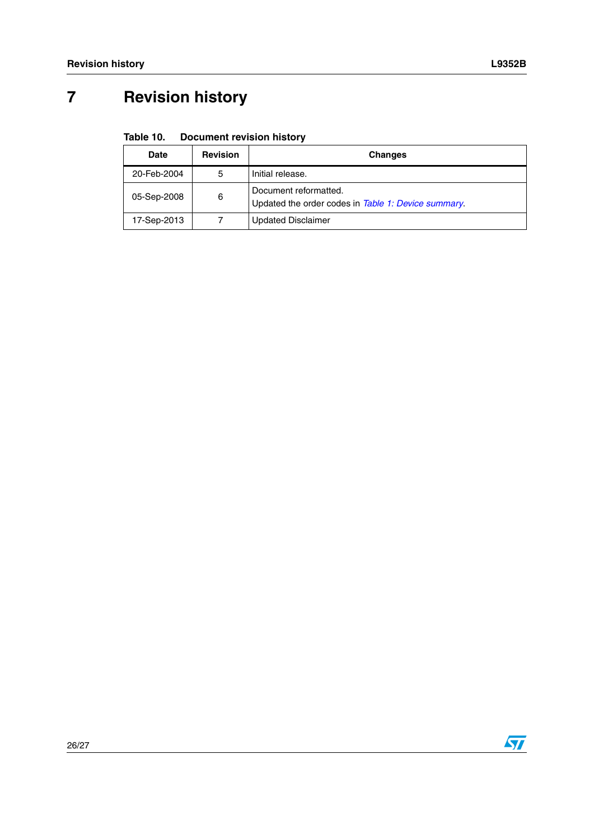# <span id="page-25-0"></span>**7 Revision history**

#### <span id="page-25-1"></span>Table 10. **Document revision history**

|                  | <b>Date</b> | <b>Revision</b> | <b>Changes</b>                                                               |
|------------------|-------------|-----------------|------------------------------------------------------------------------------|
| 20-Feb-2004<br>5 |             |                 | Initial release.                                                             |
|                  | 05-Sep-2008 | 6               | Document reformatted.<br>Updated the order codes in Table 1: Device summary. |
|                  | 17-Sep-2013 |                 | <b>Updated Disclaimer</b>                                                    |